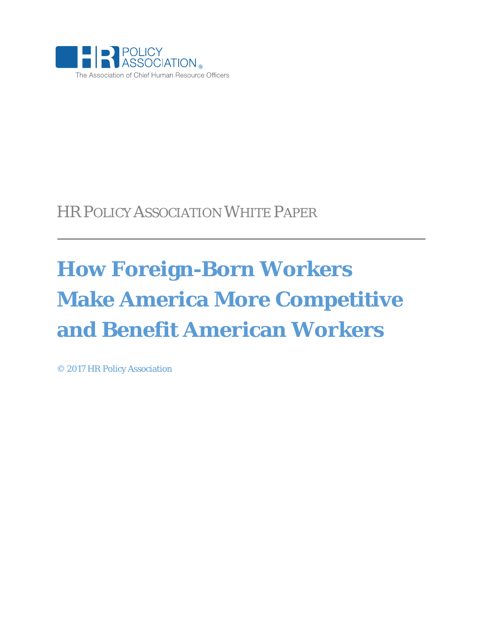

## HR POLICY ASSOCIATION WHITE PAPER

# **How Foreign-Born Workers Make America More Competitive and Benefit American Workers**

© 2017 HR Policy Association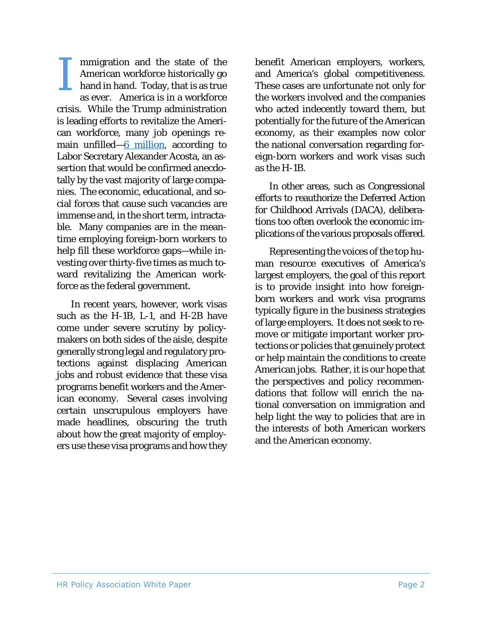mmigration and the state of the American workforce historically go hand in hand. Today, that is as true as ever. America is in a workforce crisis. While the Trump administration is leading efforts to revitalize the American workforce, many job openings remain unfilled $-6$  million, according to Labor Secretary Alexander Acosta, an assertion that would be confirmed anecdotally by the vast majority of large companies. The economic, educational, and social forces that cause such vacancies are immense and, in the short term, intractable. Many companies are in the meantime employing foreign-born workers to help fill these workforce gaps—while investing over thirty-five times as much toward revitalizing the American workforce as the federal government. I

In recent years, however, work visas such as the H-1B, L-1, and H-2B have come under severe scrutiny by policymakers on both sides of the aisle, despite generally strong legal and regulatory protections against displacing American jobs and robust evidence that these visa programs benefit workers and the American economy. Several cases involving certain unscrupulous employers have made headlines, obscuring the truth about how the great majority of employers use these visa programs and how they

benefit American employers, workers, and America's global competitiveness. These cases are unfortunate not only for the workers involved and the companies who acted indecently toward them, but potentially for the future of the American economy, as their examples now color the national conversation regarding foreign-born workers and work visas such as the H-1B.

In other areas, such as Congressional efforts to reauthorize the Deferred Action for Childhood Arrivals (DACA), deliberations too often overlook the economic implications of the various proposals offered.

Representing the voices of the top human resource executives of America's largest employers, the goal of this report is to provide insight into how foreignborn workers and work visa programs typically figure in the business strategies of large employers. It does not seek to remove or mitigate important worker protections or policies that genuinely protect or help maintain the conditions to create American jobs. Rather, it is our hope that the perspectives and policy recommendations that follow will enrich the national conversation on immigration and help light the way to policies that are in the interests of both American workers and the American economy.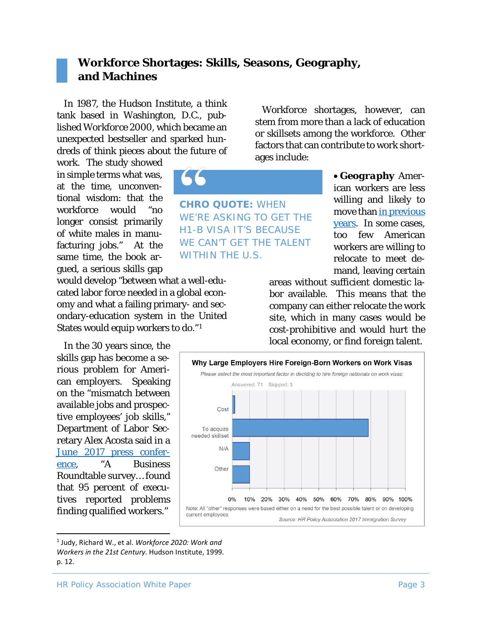#### **Workforce Shortages: Skills, Seasons, Geography, and Machines**

In 1987, the Hudson Institute, a think tank based in Washington, D.C., published *Workforce 2000*, which became an unexpected bestseller and sparked hundreds of think pieces about the future of

work. The study showed in simple terms what was, at the time, unconventional wisdom: that the workforce would "no longer consist primarily of white males in manufacturing jobs." At the same time, the book argued, a serious skills gap

would develop "between what a well-educated labor force needed in a global economy and what a failing primary- and secondary-education system in the United States would equip workers to do."[1](#page-2-0)

In the 30 years since, the skills gap has become a serious problem for American employers. Speaking on the "mismatch between available jobs and prospective employees' job skills," Department of Labor Secretary Alex Acosta said in a [June 2017 press confer](https://www.whitehouse.gov/the-press-office/2017/06/12/press-briefing-press-secretary-sean-spicer-and-secretary-labor-alex)[ence,](https://www.whitehouse.gov/the-press-office/2017/06/12/press-briefing-press-secretary-sean-spicer-and-secretary-labor-alex) "A Business Roundtable survey… found that 95 percent of executives reported problems finding qualified workers."

**CHRO QUOTE:** WHEN WE'RE ASKING TO GET THE H1-B VISA IT'S BECAUSE WE CAN'T GET THE TALENT WITHIN THE U.S.

Workforce shortages, however, can stem from more than a lack of education or skillsets among the workforce. Other factors that can contribute to work shortages include:

> • *Geography* American workers are less willing and likely to move than in previous [years.](http://www.nbcnews.com/business/consumer/there-s-no-place-home-fewer-americans-are-moving-work-n756741) In some cases, too few American workers are willing to relocate to meet demand, leaving certain

areas without sufficient domestic labor available. This means that the company can either relocate the work site, which in many cases would be cost-prohibitive and would hurt the local economy, or find foreign talent.



<span id="page-2-0"></span> <sup>1</sup> Judy, Richard W., et al. *Workforce 2020: Work and Workers in the 21st Century*. Hudson Institute, 1999. p. 12.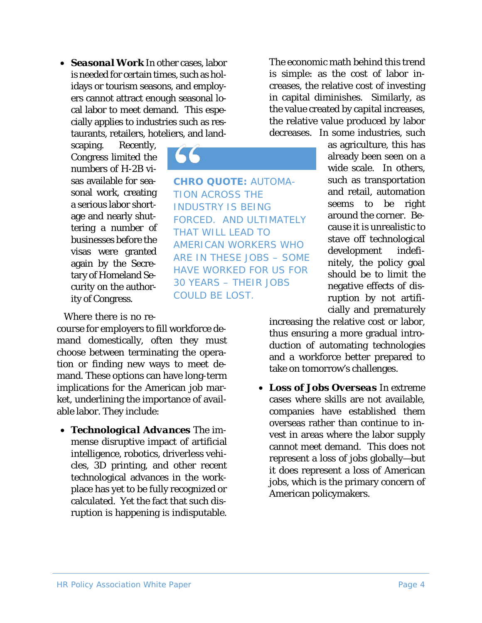• *Seasonal Work* In other cases, labor is needed for certain times, such as holidays or tourism seasons, and employers cannot attract enough seasonal local labor to meet demand. This especially applies to industries such as restaurants, retailers, hoteliers, and land-

**CHRO QUOTE:** AUTOMA-

FORCED. AND ULTIMATELY

AMERICAN WORKERS WHO ARE IN THESE JOBS – SOME HAVE WORKED FOR US FOR 30 YEARS – THEIR JOBS

TION ACROSS THE INDUSTRY IS BEING

THAT WILL LEAD TO

COULD BE LOST.

scaping. Recently, Congress limited the numbers of H-2B visas available for seasonal work, creating a serious labor shortage and nearly shuttering a number of businesses before the visas were granted again by the Secretary of Homeland Security on the authority of Congress.

Where there is no re-

course for employers to fill workforce demand domestically, often they must choose between terminating the operation or finding new ways to meet demand. These options can have long-term implications for the American job market, underlining the importance of available labor. They include:

• *Technological Advances* The immense disruptive impact of artificial intelligence, robotics, driverless vehicles, 3D printing, and other recent technological advances in the workplace has yet to be fully recognized or calculated. Yet the fact that such disruption is happening is indisputable.

The economic math behind this trend is simple: as the cost of labor increases, the relative cost of investing in capital diminishes. Similarly, as the value created by capital increases, the relative value produced by labor decreases. In some industries, such

> as agriculture, this has already been seen on a wide scale. In others, such as transportation and retail, automation seems to be right around the corner. Because it is unrealistic to stave off technological development indefinitely, the policy goal should be to limit the negative effects of disruption by not artificially and prematurely

increasing the relative cost or labor, thus ensuring a more gradual introduction of automating technologies and a workforce better prepared to take on tomorrow's challenges.

• *Loss of Jobs Overseas* In extreme cases where skills are not available, companies have established them overseas rather than continue to invest in areas where the labor supply cannot meet demand. This does not represent a loss of jobs globally—but it does represent a loss of American jobs, which is the primary concern of American policymakers.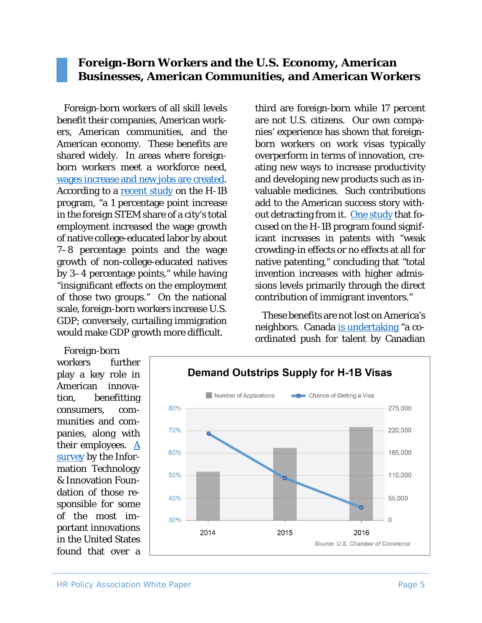#### **Foreign-Born Workers and the U.S. Economy, American Businesses, American Communities, and American Workers**

Foreign-born workers of all skill levels benefit their companies, American workers, American communities, and the American economy. These benefits are shared widely. In areas where foreignborn workers meet a workforce need, [wages increase and new jobs are created.](https://www.nap.edu/read/23550/chapter/4#24) According to a [recent study](file://hrlaw.local/lpadev/Committees/Workforce%20Development%20Committee/Workplace%202020/Separate%20Reports/Immigration/giovanniperi.ucdavis.edu/uploads/5/6/8/2/56826033/stem-workers.pdf) on the H-1B program, "a 1 percentage point increase in the foreign STEM share of a city's total employment increased the wage growth of native college-educated labor by about 7–8 percentage points and the wage growth of non-college-educated natives by 3–4 percentage points," while having "insignificant effects on the employment of those two groups." On the national scale, foreign-born workers increase U.S. GDP; conversely, curtailing immigration would make GDP growth more difficult.

third are foreign-born while 17 percent are not U.S. citizens. Our own companies' experience has shown that foreignborn workers on work visas typically overperform in terms of innovation, creating new ways to increase productivity and developing new products such as invaluable medicines. Such contributions add to the American success story with-out detracting from it. [One study](http://www.hbs.edu/faculty/Publication%20Files/09-005.pdf) that focused on the H-1B program found significant increases in patents with "weak crowding-in effects or no effects at all for native patenting," concluding that "total invention increases with higher admissions levels primarily through the direct contribution of immigrant inventors."

These benefits are not lost on America's neighbors. Canada [is undertaking](https://www.wsj.com/articles/canada-aims-for-tech-talent-emboldened-by-immigration-worries-in-u-s-1501341804) "a coordinated push for talent by Canadian

Foreign-born workers further play a key role in American innovation, benefitting consumers, communities and companies, along with their employees.  $\underline{A}$ [survey](https://itif.org/publications/2016/02/24/demographics-innovation-united-states) by the Information Technology & Innovation Foundation of those responsible for some of the most important innovations in the United States found that over a

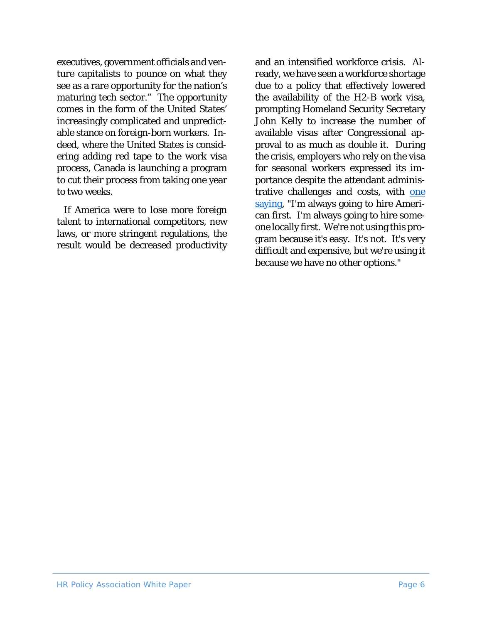executives, government officials and venture capitalists to pounce on what they see as a rare opportunity for the nation's maturing tech sector." The opportunity comes in the form of the United States' increasingly complicated and unpredictable stance on foreign-born workers. Indeed, where the United States is considering adding red tape to the work visa process, Canada is launching a program to cut their process from taking one year to two weeks.

If America were to lose more foreign talent to international competitors, new laws, or more stringent regulations, the result would be decreased productivity

and an intensified workforce crisis. Already, we have seen a workforce shortage due to a policy that effectively lowered the availability of the H2-B work visa, prompting Homeland Security Secretary John Kelly to increase the number of available visas after Congressional approval to as much as double it. During the crisis, employers who rely on the visa for seasonal workers expressed its importance despite the attendant administrative challenges and costs, with one [saying,](https://www.usnews.com/news/best-states/maine/articles/2017-05-02/with-visas-tight-us-resorts-struggle-to-find-seasonal-help) "I'm always going to hire American first. I'm always going to hire someone locally first. We're not using this program because it's easy. It's not. It's very difficult and expensive, but we're using it because we have no other options."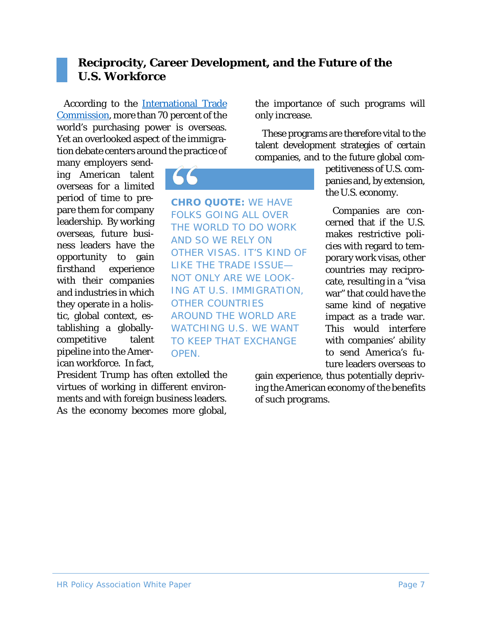### **Reciprocity, Career Development, and the Future of the U.S. Workforce**

**CHRO QUOTE:** WE HAVE FOLKS GOING ALL OVER THE WORLD TO DO WORK

OTHER VISAS. IT'S KIND OF LIKE THE TRADE ISSUE— NOT ONLY ARE WE LOOK-ING AT U.S. IMMIGRATION,

AROUND THE WORLD ARE WATCHING U.S. WE WANT TO KEEP THAT EXCHANGE

AND SO WE RELY ON

OTHER COUNTRIES

OPEN.

According to the [International Trade](http://www.trade.gov/cs/factsheet.asp)  [Commission,](http://www.trade.gov/cs/factsheet.asp) more than 70 percent of the world's purchasing power is overseas. Yet an overlooked aspect of the immigration debate centers around the practice of

many employers sending American talent overseas for a limited period of time to prepare them for company leadership. By working overseas, future business leaders have the opportunity to gain firsthand experience with their companies and industries in which they operate in a holistic, global context, establishing a globallycompetitive talent pipeline into the American workforce. In fact,

President Trump has often extolled the virtues of working in different environments and with foreign business leaders. As the economy becomes more global, the importance of such programs will only increase.

These programs are therefore vital to the talent development strategies of certain companies, and to the future global com-

> petitiveness of U.S. companies and, by extension, the U.S. economy.

> Companies are concerned that if the U.S. makes restrictive policies with regard to temporary work visas, other countries may reciprocate, resulting in a "visa war" that could have the same kind of negative impact as a trade war. This would interfere with companies' ability to send America's future leaders overseas to

gain experience, thus potentially depriving the American economy of the benefits of such programs.